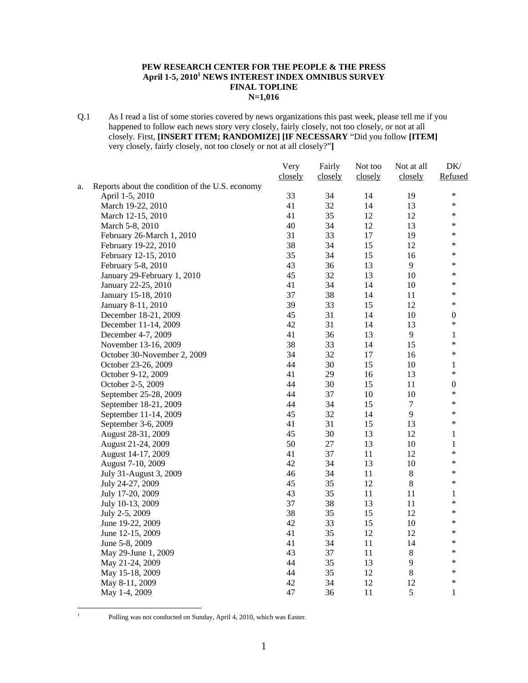#### **PEW RESEARCH CENTER FOR THE PEOPLE & THE PRESS April 1-5, 20101 NEWS INTEREST INDEX OMNIBUS SURVEY FINAL TOPLINE N=1,016**

Q.1 As I read a list of some stories covered by news organizations this past week, please tell me if you happened to follow each news story very closely, fairly closely, not too closely, or not at all closely. First, **[INSERT ITEM; RANDOMIZE] [IF NECESSARY** "Did you follow **[ITEM]**  very closely, fairly closely, not too closely or not at all closely?"**]**

|    |                                                 | Very    | Fairly  | Not too | Not at all       | DK/              |
|----|-------------------------------------------------|---------|---------|---------|------------------|------------------|
|    |                                                 | closely | closely | closely | closely          | Refused          |
| a. | Reports about the condition of the U.S. economy |         |         |         |                  |                  |
|    | April 1-5, 2010                                 | 33      | 34      | 14      | 19               | $\ast$           |
|    | March 19-22, 2010                               | 41      | 32      | 14      | 13               | $\ast$           |
|    | March 12-15, 2010                               | 41      | 35      | 12      | 12               | $\ast$           |
|    | March 5-8, 2010                                 | 40      | 34      | 12      | 13               | $\ast$           |
|    | February 26-March 1, 2010                       | 31      | 33      | 17      | 19               | $\ast$           |
|    | February 19-22, 2010                            | 38      | 34      | 15      | 12               | $\ast$           |
|    | February 12-15, 2010                            | 35      | 34      | 15      | 16               | $\ast$           |
|    | February 5-8, 2010                              | 43      | 36      | 13      | 9                | $\ast$           |
|    | January 29-February 1, 2010                     | 45      | 32      | 13      | 10               | $\ast$           |
|    | January 22-25, 2010                             | 41      | 34      | 14      | $10\,$           | $\ast$           |
|    | January 15-18, 2010                             | 37      | 38      | 14      | 11               | $\ast$           |
|    | January 8-11, 2010                              | 39      | 33      | 15      | 12               | $\ast$           |
|    | December 18-21, 2009                            | 45      | 31      | 14      | 10               | $\boldsymbol{0}$ |
|    | December 11-14, 2009                            | 42      | 31      | 14      | 13               | $\ast$           |
|    | December 4-7, 2009                              | 41      | 36      | 13      | $\overline{9}$   | $\mathbf{1}$     |
|    | November 13-16, 2009                            | 38      | 33      | 14      | 15               | $\ast$           |
|    | October 30-November 2, 2009                     | 34      | 32      | 17      | 16               | $\ast$           |
|    | October 23-26, 2009                             | 44      | 30      | 15      | 10               | $\mathbf{1}$     |
|    | October 9-12, 2009                              | 41      | 29      | 16      | 13               | $\ast$           |
|    | October 2-5, 2009                               | 44      | 30      | 15      | 11               | $\boldsymbol{0}$ |
|    | September 25-28, 2009                           | 44      | 37      | 10      | 10               | $\ast$           |
|    | September 18-21, 2009                           | 44      | 34      | 15      | $\boldsymbol{7}$ | $\ast$           |
|    | September 11-14, 2009                           | 45      | 32      | 14      | 9                | $\ast$           |
|    | September 3-6, 2009                             | 41      | 31      | 15      | 13               | $\ast$           |
|    | August 28-31, 2009                              | 45      | 30      | 13      | 12               | 1                |
|    | August 21-24, 2009                              | 50      | $27\,$  | 13      | 10               | 1                |
|    | August 14-17, 2009                              | 41      | 37      | $11\,$  | 12               | $\ast$           |
|    | August 7-10, 2009                               | 42      | 34      | 13      | 10               | $\ast$           |
|    | July 31-August 3, 2009                          | 46      | 34      | $11\,$  | $8\,$            | $\ast$           |
|    | July 24-27, 2009                                | 45      | 35      | 12      | $8\,$            | $\ast$           |
|    | July 17-20, 2009                                | 43      | 35      | 11      | 11               | $\mathbf{1}$     |
|    | July 10-13, 2009                                | 37      | 38      | 13      | 11               | $\ast$           |
|    | July 2-5, 2009                                  | 38      | 35      | 15      | 12               | $\ast$           |
|    | June 19-22, 2009                                | 42      | 33      | 15      | 10               | $\ast$           |
|    | June 12-15, 2009                                | 41      | 35      | 12      | 12               | $\ast$           |
|    | June 5-8, 2009                                  | 41      | 34      | $11\,$  | 14               | $\ast$           |
|    | May 29-June 1, 2009                             | 43      | 37      | 11      | $8\,$            | $\ast$           |
|    | May 21-24, 2009                                 | 44      | 35      | 13      | 9                | $\ast$           |
|    | May 15-18, 2009                                 | 44      | 35      | 12      | $8\,$            | $\ast$           |
|    | May 8-11, 2009                                  | 42      | 34      | 12      | 12               | $\ast$           |
|    | May 1-4, 2009                                   | 47      | 36      | 11      | 5                | 1                |

 $\frac{1}{1}$ 

Polling was not conducted on Sunday, April 4, 2010, which was Easter.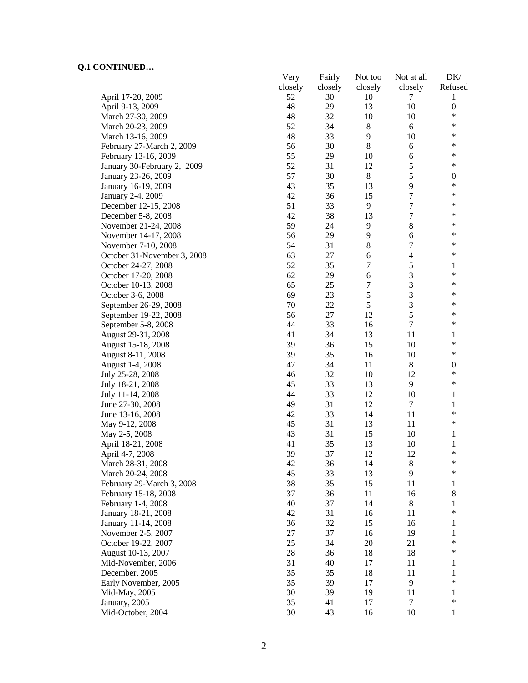|                             | Very    | Fairly  | Not too          | Not at all     | DK/              |
|-----------------------------|---------|---------|------------------|----------------|------------------|
|                             | closely | closely | closely          | closely        | Refused          |
| April 17-20, 2009           | 52      | 30      | 10               | 7              | 1                |
| April 9-13, 2009            | 48      | 29      | 13               | 10             | $\boldsymbol{0}$ |
| March 27-30, 2009           | 48      | 32      | 10               | 10             | $\ast$           |
| March 20-23, 2009           | 52      | 34      | $\,$ 8 $\,$      | 6              | $\ast$           |
| March 13-16, 2009           | 48      | 33      | 9                | 10             | *                |
| February 27-March 2, 2009   | 56      | 30      | $\,8\,$          | 6              | $\ast$           |
| February 13-16, 2009        | 55      | 29      | 10               | 6              | $\ast$           |
| January 30-February 2, 2009 | 52      | 31      | 12               | 5              | $\ast$           |
| January 23-26, 2009         | 57      | 30      | $8\,$            | 5              | $\boldsymbol{0}$ |
| January 16-19, 2009         | 43      | 35      | 13               | 9              | $\ast$           |
| January 2-4, 2009           | 42      | 36      | 15               | 7              | *                |
| December 12-15, 2008        | 51      | 33      | 9                | 7              | *                |
| December 5-8, 2008          | 42      | 38      | 13               | 7              | $\ast$           |
| November 21-24, 2008        | 59      | 24      | 9                | 8              | $\ast$           |
| November 14-17, 2008        | 56      | 29      | 9                | 6              | $\ast$           |
| November 7-10, 2008         | 54      | 31      | 8                | 7              | $\ast$           |
| October 31-November 3, 2008 | 63      | 27      | 6                | $\overline{4}$ | *                |
| October 24-27, 2008         | 52      | 35      | $\boldsymbol{7}$ | 5              | 1                |
| October 17-20, 2008         | 62      | 29      | 6                | 3              | $\ast$           |
|                             | 65      | 25      | 7                | 3              | $\ast$           |
| October 10-13, 2008         |         |         |                  |                | $\ast$           |
| October 3-6, 2008           | 69      | 23      | 5                | 3              | $\ast$           |
| September 26-29, 2008       | 70      | 22      | 5                | 3              | *                |
| September 19-22, 2008       | 56      | 27      | 12               | 5              |                  |
| September 5-8, 2008         | 44      | 33      | 16               | $\tau$         | *                |
| August 29-31, 2008          | 41      | 34      | 13               | 11             | 1                |
| August 15-18, 2008          | 39      | 36      | 15               | 10             | $\ast$           |
| August 8-11, 2008           | 39      | 35      | 16               | 10             | $\ast$           |
| August 1-4, 2008            | 47      | 34      | 11               | $\,8\,$        | $\boldsymbol{0}$ |
| July 25-28, 2008            | 46      | 32      | 10               | 12             | $\ast$           |
| July 18-21, 2008            | 45      | 33      | 13               | 9              | $\ast$           |
| July 11-14, 2008            | 44      | 33      | 12               | 10             | $\mathbf{1}$     |
| June 27-30, 2008            | 49      | 31      | 12               | 7              | $\mathbf{1}$     |
| June 13-16, 2008            | 42      | 33      | 14               | 11             | $\ast$           |
| May 9-12, 2008              | 45      | 31      | 13               | 11             | $\ast$           |
| May 2-5, 2008               | 43      | 31      | 15               | 10             | 1                |
| April 18-21, 2008           | 41      | 35      | 13               | 10             | 1                |
| April 4-7, 2008             | 39      | 37      | 12               | 12             | $\ast$           |
| March 28-31, 2008           | 42      | 36      | 14               | 8              | ∗                |
| March 20-24, 2008           | 45      | 33      | 13               | 9              | $\ast$           |
| February 29-March 3, 2008   | 38      | 35      | 15               | 11             | $\mathbf{1}$     |
| February 15-18, 2008        | 37      | 36      | 11               | 16             | $\,8\,$          |
| February 1-4, 2008          | 40      | 37      | 14               | $\,8\,$        | 1                |
| January 18-21, 2008         | 42      | 31      | 16               | 11             | $\ast$           |
| January 11-14, 2008         | 36      | 32      | 15               | 16             | 1                |
| November 2-5, 2007          | 27      | 37      | 16               | 19             | 1                |
| October 19-22, 2007         | 25      | 34      | 20               | 21             | $\ast$           |
| August 10-13, 2007          | $28\,$  | 36      | 18               | 18             | $\ast$           |
| Mid-November, 2006          | 31      | 40      | 17               | 11             | 1                |
| December, 2005              | 35      | 35      | 18               | 11             | 1                |
| Early November, 2005        | 35      | 39      | 17               | 9              | *                |
| Mid-May, 2005               | 30      | 39      | 19               | 11             | 1                |
| January, 2005               | 35      | 41      | 17               | 7              | $\ast$           |
| Mid-October, 2004           | 30      | 43      | 16               | 10             | 1                |
|                             |         |         |                  |                |                  |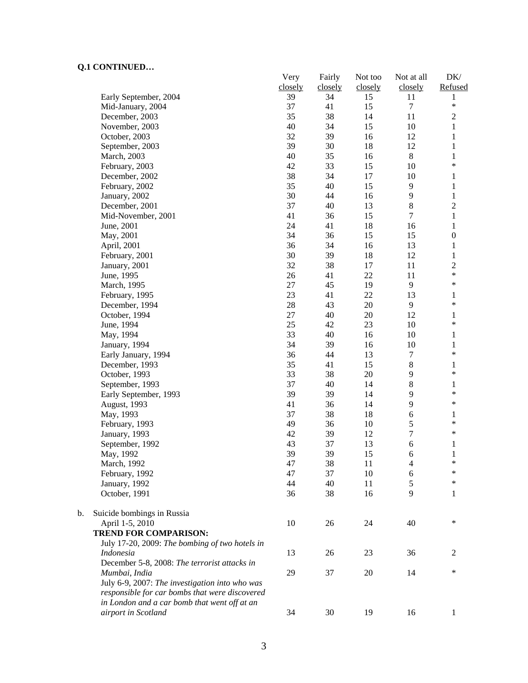$\mathbf b$ .

|    |                                                | Very<br>closely | Fairly<br>closely | Not too<br>closely | Not at all<br>closely | DK/<br>Refused   |
|----|------------------------------------------------|-----------------|-------------------|--------------------|-----------------------|------------------|
|    | Early September, 2004                          | 39              | 34                | 15                 | 11                    | 1                |
|    | Mid-January, 2004                              | 37              | 41                | 15                 | $\tau$                | $\ast$           |
|    | December, 2003                                 | 35              | 38                | 14                 | 11                    | $\overline{c}$   |
|    | November, 2003                                 | 40              | 34                | 15                 | 10                    | $\mathbf{1}$     |
|    | October, 2003                                  | 32              | 39                | 16                 | 12                    | $\mathbf{1}$     |
|    | September, 2003                                | 39              | 30                | 18                 | 12                    | $\mathbf{1}$     |
|    | March, 2003                                    | 40              | 35                | 16                 | $8\,$                 | $\mathbf{1}$     |
|    | February, 2003                                 | 42              | 33                | 15                 | 10                    | $\ast$           |
|    | December, 2002                                 | 38              | 34                | 17                 | 10                    | $\mathbf{1}$     |
|    | February, 2002                                 | 35              | 40                | 15                 | 9                     | $\,1$            |
|    | January, 2002                                  | 30              | 44                | 16                 | 9                     | $\mathbf{1}$     |
|    | December, 2001                                 | 37              | 40                | 13                 | 8                     | $\overline{c}$   |
|    | Mid-November, 2001                             | 41              | 36                | 15                 | $\overline{7}$        | $\,1\,$          |
|    | June, 2001                                     | 24              | 41                | 18                 | 16                    | $\mathbf{1}$     |
|    | May, 2001                                      | 34              | 36                | 15                 | 15                    | $\boldsymbol{0}$ |
|    | April, 2001                                    | 36              | 34                | 16                 | 13                    | $\mathbf{1}$     |
|    | February, 2001                                 | 30              | 39                | 18                 | 12                    | $\mathbf{1}$     |
|    | January, 2001                                  | 32              | 38                | 17                 | 11                    | $\overline{c}$   |
|    | June, 1995                                     | 26              | 41                | 22                 | 11                    | $\ast$           |
|    | March, 1995                                    | 27              | 45                | 19                 | 9                     | $\ast$           |
|    | February, 1995                                 | 23              | 41                | 22                 | 13                    | $\mathbf{1}$     |
|    | December, 1994                                 | 28              | 43                | 20                 | 9                     | $\ast$           |
|    | October, 1994                                  | 27              | 40                | 20                 | 12                    | $\mathbf{1}$     |
|    | June, 1994                                     | 25              | 42                | 23                 | $10\,$                | $\ast$           |
|    | May, 1994                                      | 33              | 40                | 16                 | 10                    | $\mathbf{1}$     |
|    | January, 1994                                  | 34              | 39                | 16                 | 10                    | $\,1$            |
|    | Early January, 1994                            | 36              | 44                | 13                 | $\boldsymbol{7}$      | $\ast$           |
|    | December, 1993                                 | 35              | 41                | 15                 | 8                     | $\mathbf{1}$     |
|    | October, 1993                                  | 33              | 38                | 20                 | 9                     | $\ast$           |
|    | September, 1993                                | 37              | 40                | 14                 | 8                     | 1                |
|    | Early September, 1993                          | 39              | 39                | 14                 | 9                     | $\ast$           |
|    | August, 1993                                   | 41              | 36                | 14                 | 9                     | $\ast$           |
|    | May, 1993                                      | 37              | 38                | 18                 | 6                     | $\mathbf{1}$     |
|    | February, 1993                                 | 49              | 36                | 10                 | 5                     | $\ast$           |
|    | January, 1993                                  | 42              | 39                | 12                 | $\overline{7}$        | $\ast$           |
|    | September, 1992                                | 43              | 37                | 13                 | $\epsilon$            | $\mathbf{1}$     |
|    | May, 1992                                      | 39              | 39                | 15                 | 6                     | $\mathbf{1}$     |
|    | March, 1992                                    | 47              | 38                | 11                 | 4                     | $\ast$           |
|    | February, 1992                                 | 47              | 37                | 10                 | 6                     | $\ast$           |
|    | January, 1992                                  | 44              | 40                | 11                 | 5                     | ∗                |
|    | October, 1991                                  | 36              | 38                | 16                 | 9                     | 1                |
| b. | Suicide bombings in Russia                     |                 |                   |                    |                       |                  |
|    | April 1-5, 2010                                | 10              | 26                | 24                 | 40                    | $\ast$           |
|    | <b>TREND FOR COMPARISON:</b>                   |                 |                   |                    |                       |                  |
|    | July 17-20, 2009: The bombing of two hotels in |                 |                   |                    |                       |                  |
|    | <i>Indonesia</i>                               | 13              | 26                | 23                 | 36                    | 2                |
|    | December 5-8, 2008: The terrorist attacks in   |                 |                   |                    |                       |                  |
|    | Mumbai, India                                  | 29              | 37                | 20                 | 14                    | $\ast$           |
|    | July 6-9, 2007: The investigation into who was |                 |                   |                    |                       |                  |
|    | responsible for car bombs that were discovered |                 |                   |                    |                       |                  |
|    | in London and a car bomb that went off at an   |                 |                   |                    |                       |                  |
|    | airport in Scotland                            | 34              | 30                | 19                 | 16                    | $\mathbf{1}$     |
|    |                                                |                 |                   |                    |                       |                  |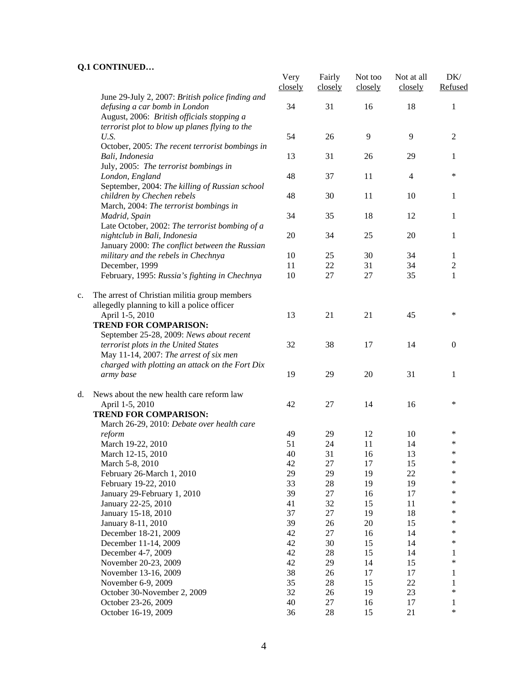|    |                                                                                                                                   | Very<br>closely | Fairly<br>closely | Not too<br>closely | Not at all<br>closely | DK/<br>Refused |
|----|-----------------------------------------------------------------------------------------------------------------------------------|-----------------|-------------------|--------------------|-----------------------|----------------|
|    | June 29-July 2, 2007: British police finding and<br>defusing a car bomb in London<br>August, 2006: British officials stopping a   | 34              | 31                | 16                 | 18                    | 1              |
|    | terrorist plot to blow up planes flying to the<br>U.S.<br>October, 2005: The recent terrorist bombings in                         | 54              | 26                | 9                  | 9                     | $\overline{2}$ |
|    | Bali, Indonesia<br>July, 2005: The terrorist bombings in                                                                          | 13              | 31                | 26                 | 29                    | 1              |
|    | London, England<br>September, 2004: The killing of Russian school                                                                 | 48              | 37                | 11                 | 4                     | $\ast$         |
|    | children by Chechen rebels<br>March, 2004: The terrorist bombings in                                                              | 48              | 30                | 11                 | 10                    | 1              |
|    | Madrid, Spain<br>Late October, 2002: The terrorist bombing of a                                                                   | 34              | 35                | 18                 | 12                    | 1              |
|    | nightclub in Bali, Indonesia<br>January 2000: The conflict between the Russian                                                    | 20              | 34                | 25                 | 20                    | 1              |
|    | military and the rebels in Chechnya                                                                                               | 10              | 25                | 30                 | 34                    | $\mathbf{1}$   |
|    | December, 1999                                                                                                                    | 11              | $22\,$            | 31                 | 34                    | $\overline{c}$ |
|    | February, 1995: Russia's fighting in Chechnya                                                                                     | 10              | 27                | 27                 | 35                    | $\mathbf{1}$   |
| c. | The arrest of Christian militia group members<br>allegedly planning to kill a police officer                                      |                 |                   |                    |                       |                |
|    | April 1-5, 2010<br><b>TREND FOR COMPARISON:</b><br>September 25-28, 2009: News about recent                                       | 13              | 21                | 21                 | 45                    | *              |
|    | terrorist plots in the United States<br>May 11-14, 2007: The arrest of six men<br>charged with plotting an attack on the Fort Dix | 32              | 38                | 17                 | 14                    | $\Omega$       |
|    | army base                                                                                                                         | 19              | 29                | 20                 | 31                    | 1              |
| d. | News about the new health care reform law<br>April 1-5, 2010<br><b>TREND FOR COMPARISON:</b>                                      | 42              | 27                | 14                 | 16                    | ∗              |
|    | March 26-29, 2010: Debate over health care                                                                                        |                 |                   |                    |                       | $\ast$         |
|    | reform                                                                                                                            | 49              | 29                | 12                 | 10                    |                |
|    | March 19-22, 2010                                                                                                                 | 51              | 24                | 11                 | 14                    | ∗              |
|    | March 12-15, 2010                                                                                                                 | 40              | 31                | 16                 | 13                    | ∗              |
|    | March 5-8, 2010                                                                                                                   | 42              | 27                | 17                 | 15                    | $\ast$<br>*    |
|    | February 26-March 1, 2010                                                                                                         | 29              | 29                | 19                 | 22                    |                |
|    | February 19-22, 2010                                                                                                              | 33              | $28\,$            | 19                 | 19                    | $\ast$         |
|    | January 29-February 1, 2010                                                                                                       | 39              | 27                | 16                 | 17                    | *              |
|    | January 22-25, 2010                                                                                                               | 41              | 32                | 15                 | 11                    | *              |
|    | January 15-18, 2010                                                                                                               | 37              | 27                | 19                 | 18                    | *              |
|    | January 8-11, 2010                                                                                                                | 39              | 26                | 20                 | 15                    | *              |
|    | December 18-21, 2009                                                                                                              | 42              | 27                | 16                 | 14                    | *              |
|    | December 11-14, 2009                                                                                                              | 42              | 30                | 15                 | 14                    | *              |
|    | December 4-7, 2009                                                                                                                | 42              | 28                | 15                 | 14                    | 1              |
|    | November 20-23, 2009                                                                                                              | 42              | 29                | 14                 | 15                    | $\ast$         |
|    | November 13-16, 2009                                                                                                              | 38              | 26                | 17                 | 17                    | 1              |
|    | November 6-9, 2009                                                                                                                | 35              | $28\,$            | 15                 | 22                    | 1              |
|    | October 30-November 2, 2009                                                                                                       | 32              | 26                | 19                 | 23                    | $\ast$         |
|    | October 23-26, 2009<br>October 16-19, 2009                                                                                        | 40<br>36        | 27<br>$28\,$      | 16<br>15           | 17<br>21              | 1<br>$\ast$    |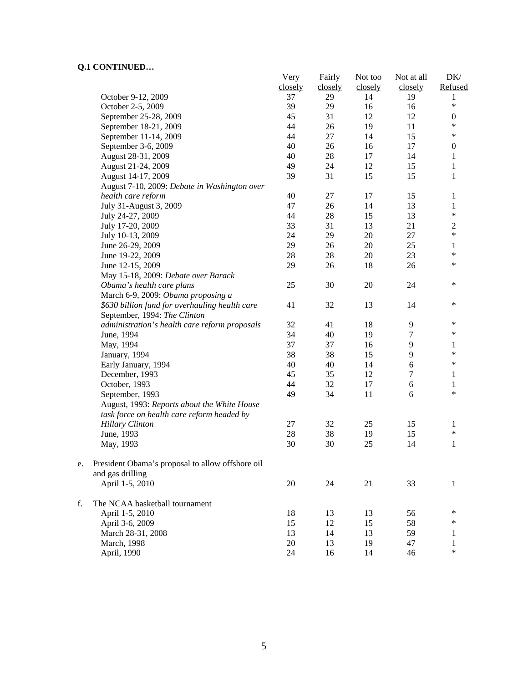|    | CONTRACTION                                      | Very    | Fairly  | Not too | Not at all | DK/              |
|----|--------------------------------------------------|---------|---------|---------|------------|------------------|
|    |                                                  | closely | closely | closely | closely    | Refused          |
|    | October 9-12, 2009                               | 37      | 29      | 14      | 19         | 1                |
|    | October 2-5, 2009                                | 39      | 29      | 16      | 16         | $\ast$           |
|    | September 25-28, 2009                            | 45      | 31      | 12      | 12         | $\boldsymbol{0}$ |
|    | September 18-21, 2009                            | 44      | 26      | 19      | 11         | $\ast$           |
|    | September 11-14, 2009                            | 44      | $27\,$  | 14      | 15         | $\ast$           |
|    | September 3-6, 2009                              | 40      | 26      | 16      | 17         | $\boldsymbol{0}$ |
|    | August 28-31, 2009                               | 40      | $28\,$  | 17      | 14         | 1                |
|    | August 21-24, 2009                               | 49      | 24      | 12      | 15         | $\mathbf{1}$     |
|    | August 14-17, 2009                               | 39      | 31      | 15      | 15         | 1                |
|    | August 7-10, 2009: Debate in Washington over     |         |         |         |            |                  |
|    | health care reform                               | 40      | 27      | 17      | 15         | 1                |
|    | July 31-August 3, 2009                           | 47      | 26      | 14      | 13         | 1                |
|    | July 24-27, 2009                                 | 44      | $28\,$  | 15      | 13         | $\ast$           |
|    | July 17-20, 2009                                 | 33      | 31      | 13      | 21         | $\overline{c}$   |
|    | July 10-13, 2009                                 | 24      | 29      | 20      | 27         | $\ast$           |
|    | June 26-29, 2009                                 | 29      | 26      | $20\,$  | 25         | 1                |
|    | June 19-22, 2009                                 | $28\,$  | $28\,$  | $20\,$  | 23         | $\ast$           |
|    | June 12-15, 2009                                 | 29      | 26      | 18      | 26         | $\ast$           |
|    | May 15-18, 2009: Debate over Barack              |         |         |         |            |                  |
|    | Obama's health care plans                        | 25      | 30      | $20\,$  | 24         | $\ast$           |
|    | March 6-9, 2009: Obama proposing a               |         |         |         |            |                  |
|    | \$630 billion fund for overhauling health care   | 41      | 32      | 13      | 14         | $\ast$           |
|    | September, 1994: The Clinton                     |         |         |         |            |                  |
|    | administration's health care reform proposals    | 32      | 41      | 18      | 9          | $\ast$           |
|    | June, 1994                                       | 34      | 40      | 19      | 7          | $\ast$           |
|    | May, 1994                                        | 37      | 37      | 16      | 9          | 1                |
|    | January, 1994                                    | 38      | 38      | 15      | 9          | *                |
|    | Early January, 1994                              | 40      | 40      | 14      | $\epsilon$ | *                |
|    | December, 1993                                   | 45      | 35      | 12      | $\tau$     | $\mathbf{1}$     |
|    | October, 1993                                    | 44      | 32      | 17      | 6          | $\mathbf{1}$     |
|    | September, 1993                                  | 49      | 34      | 11      | 6          | $\ast$           |
|    | August, 1993: Reports about the White House      |         |         |         |            |                  |
|    | task force on health care reform headed by       |         |         |         |            |                  |
|    | <b>Hillary Clinton</b>                           | 27      | 32      | 25      | 15         | 1                |
|    | June, 1993                                       | 28      | 38      | 19      | 15         | $\ast$           |
|    | May, 1993                                        | 30      | 30      | 25      | 14         | 1                |
|    |                                                  |         |         |         |            |                  |
| e. | President Obama's proposal to allow offshore oil |         |         |         |            |                  |
|    | and gas drilling                                 |         |         |         |            |                  |
|    | April 1-5, 2010                                  | $20\,$  | 24      | 21      | 33         | 1                |
|    |                                                  |         |         |         |            |                  |
| f. | The NCAA basketball tournament                   |         |         |         |            |                  |
|    | April 1-5, 2010                                  | 18      | 13      | 13      | 56         | ∗                |
|    | April 3-6, 2009                                  | 15      | 12      | 15      | 58         | ∗                |
|    | March 28-31, 2008                                | 13      | 14      | 13      | 59         | 1                |
|    | March, 1998                                      | 20      | 13      | 19      | 47         | 1                |
|    | April, 1990                                      | 24      | 16      | 14      | 46         | $\ast$           |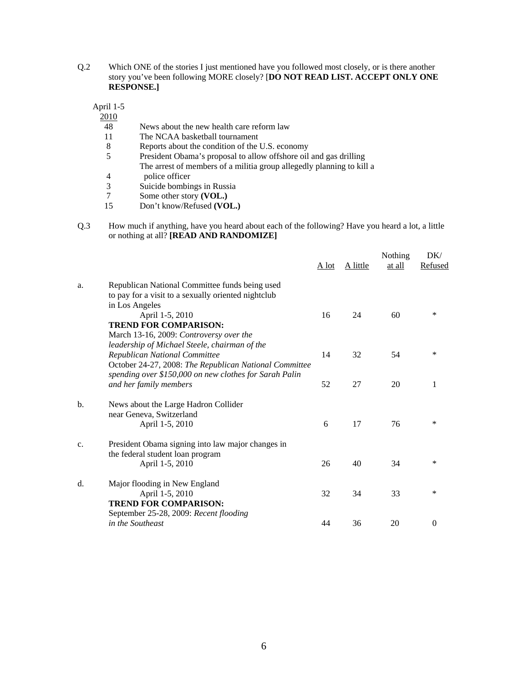Q.2 Which ONE of the stories I just mentioned have you followed most closely, or is there another story you've been following MORE closely? [**DO NOT READ LIST. ACCEPT ONLY ONE RESPONSE.]** 

April 1-5

 $\frac{2010}{48}$ 

- News about the new health care reform law
- 11 The NCAA basketball tournament
- 8 Reports about the condition of the U.S. economy<br>5 President Obama's proposal to allow offshore oil
- President Obama's proposal to allow offshore oil and gas drilling The arrest of members of a militia group allegedly planning to kill a police officer
- 4 police officer<br>3 Suicide bombin
- Suicide bombings in Russia
- 7 Some other story **(VOL.)**<br>15 Don't know/Refused **(VO** 15 Don't know/Refused **(VOL.)**
- Q.3 How much if anything, have you heard about each of the following? Have you heard a lot, a little or nothing at all? **[READ AND RANDOMIZE]**

|                |                                                                       | A lot | A little | Nothing<br>at all | DK/<br>Refused |
|----------------|-----------------------------------------------------------------------|-------|----------|-------------------|----------------|
| a.             | Republican National Committee funds being used                        |       |          |                   |                |
|                | to pay for a visit to a sexually oriented nightclub<br>in Los Angeles |       |          |                   |                |
|                | April 1-5, 2010                                                       | 16    | 24       | 60                | *              |
|                | <b>TREND FOR COMPARISON:</b>                                          |       |          |                   |                |
|                | March 13-16, 2009: Controversy over the                               |       |          |                   |                |
|                | leadership of Michael Steele, chairman of the                         |       |          |                   |                |
|                | Republican National Committee                                         | 14    | 32       | 54                | $\ast$         |
|                | October 24-27, 2008: The Republican National Committee                |       |          |                   |                |
|                | spending over \$150,000 on new clothes for Sarah Palin                |       |          |                   |                |
|                | and her family members                                                | 52    | 27       | 20                | 1              |
| b.             | News about the Large Hadron Collider                                  |       |          |                   |                |
|                | near Geneva, Switzerland                                              |       |          |                   |                |
|                | April 1-5, 2010                                                       | 6     | 17       | 76                | *              |
|                |                                                                       |       |          |                   |                |
| C <sub>1</sub> | President Obama signing into law major changes in                     |       |          |                   |                |
|                | the federal student loan program                                      |       |          |                   |                |
|                | April 1-5, 2010                                                       | 26    | 40       | 34                | *              |
| d.             | Major flooding in New England                                         |       |          |                   |                |
|                | April 1-5, 2010                                                       | 32    | 34       | 33                | *              |
|                | <b>TREND FOR COMPARISON:</b>                                          |       |          |                   |                |
|                | September 25-28, 2009: Recent flooding                                |       |          |                   |                |
|                | in the Southeast                                                      | 44    | 36       | 20                | $\Omega$       |
|                |                                                                       |       |          |                   |                |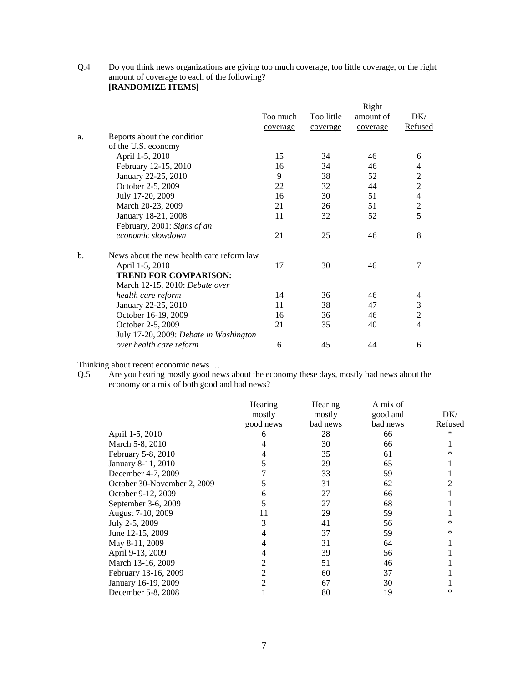Q.4 Do you think news organizations are giving too much coverage, too little coverage, or the right amount of coverage to each of the following? **[RANDOMIZE ITEMS]** 

|                                | Too much                                                                                                                                             | Too little                                                                          | amount of | DK/                      |
|--------------------------------|------------------------------------------------------------------------------------------------------------------------------------------------------|-------------------------------------------------------------------------------------|-----------|--------------------------|
|                                | coverage                                                                                                                                             | coverage                                                                            | coverage  | <b>Refused</b>           |
| Reports about the condition    |                                                                                                                                                      |                                                                                     |           |                          |
| of the U.S. economy            |                                                                                                                                                      |                                                                                     |           |                          |
| April 1-5, 2010                | 15                                                                                                                                                   | 34                                                                                  | 46        | 6                        |
| February 12-15, 2010           | 16                                                                                                                                                   | 34                                                                                  | 46        | 4                        |
|                                | 9                                                                                                                                                    | 38                                                                                  | 52        | $\sqrt{2}$               |
|                                | 22                                                                                                                                                   | 32                                                                                  | 44        | $\overline{2}$           |
| July 17-20, 2009               | 16                                                                                                                                                   | 30                                                                                  | 51        | $\overline{4}$           |
| March 20-23, 2009              | 21                                                                                                                                                   | 26                                                                                  | 51        | $\boldsymbol{2}$         |
| January 18-21, 2008            | 11                                                                                                                                                   | 32                                                                                  | 52        | 5                        |
| February, 2001: Signs of an    |                                                                                                                                                      |                                                                                     |           |                          |
| economic slowdown              | 21                                                                                                                                                   | 25                                                                                  | 46        | 8                        |
|                                |                                                                                                                                                      |                                                                                     |           |                          |
|                                | 17                                                                                                                                                   | 30                                                                                  | 46        | 7                        |
| <b>TREND FOR COMPARISON:</b>   |                                                                                                                                                      |                                                                                     |           |                          |
| March 12-15, 2010: Debate over |                                                                                                                                                      |                                                                                     |           |                          |
|                                | 14                                                                                                                                                   | 36                                                                                  | 46        | $\overline{\mathcal{A}}$ |
|                                | 11                                                                                                                                                   | 38                                                                                  | 47        | $\mathfrak{Z}$           |
|                                | 16                                                                                                                                                   | 36                                                                                  | 46        | $\overline{2}$           |
|                                | 21                                                                                                                                                   | 35                                                                                  | 40        | $\overline{4}$           |
|                                |                                                                                                                                                      |                                                                                     |           |                          |
| over health care reform        | 6                                                                                                                                                    | 45                                                                                  | 44        | 6                        |
|                                | January 22-25, 2010<br>October 2-5, 2009<br>April 1-5, 2010<br>health care reform<br>January 22-25, 2010<br>October 16-19, 2009<br>October 2-5, 2009 | News about the new health care reform law<br>July 17-20, 2009: Debate in Washington |           | Right                    |

Thinking about recent economic news …

Q.5 Are you hearing mostly good news about the economy these days, mostly bad news about the economy or a mix of both good and bad news?

|                             | Hearing   | Hearing  | A mix of |         |
|-----------------------------|-----------|----------|----------|---------|
|                             | mostly    | mostly   | good and | DK/     |
|                             | good news | bad news | bad news | Refused |
| April 1-5, 2010             | 6         | 28       | 66       | *       |
| March 5-8, 2010             |           | 30       | 66       |         |
| February 5-8, 2010          |           | 35       | 61       | ∗       |
| January 8-11, 2010          |           | 29       | 65       |         |
| December 4-7, 2009          |           | 33       | 59       |         |
| October 30-November 2, 2009 |           | 31       | 62       |         |
| October 9-12, 2009          |           | 27       | 66       |         |
| September 3-6, 2009         |           | 27       | 68       |         |
| August 7-10, 2009           | 11        | 29       | 59       |         |
| July 2-5, 2009              |           | 41       | 56       | ∗       |
| June 12-15, 2009            |           | 37       | 59       | *       |
| May 8-11, 2009              |           | 31       | 64       |         |
| April 9-13, 2009            |           | 39       | 56       |         |
| March 13-16, 2009           |           | 51       | 46       |         |
| February 13-16, 2009        |           | 60       | 37       |         |
| January 16-19, 2009         |           | 67       | 30       |         |
| December 5-8, 2008          |           | 80       | 19       | *       |
|                             |           |          |          |         |